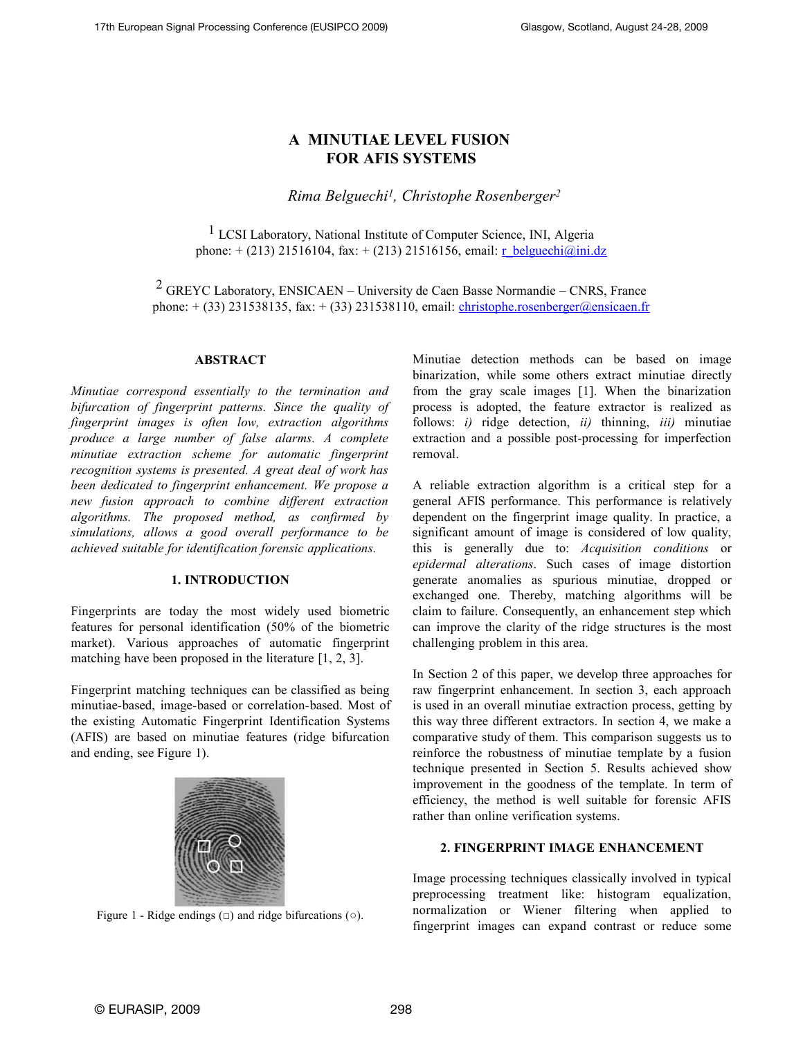# **A MINUTIAE LEVEL FUSION FOR AFIS SYSTEMS**

*Rima Belguechi<sup>1</sup> , Christophe Rosenberger<sup>2</sup>*

1 LCSI Laboratory, National Institute of Computer Science, INI, Algeria phone:  $+(213)$  21516104, fax:  $+(213)$  21516156, email: [r\\_belguechi@ini.dz](mailto:r_belguechi@ini.dz)

 $2$  GREYC Laboratory, ENSICAEN – University de Caen Basse Normandie – CNRS, France phone:  $+(33)$  231538135, fax:  $+(33)$  231538110, email: [christophe.rosenberger@ensicaen.fr](mailto:christophe.rosenberger@ensicaen.fr)

### **ABSTRACT**

*Minutiae correspond essentially to the termination and bifurcation of fingerprint patterns. Since the quality of fingerprint images is often low, extraction algorithms produce a large number of false alarms. A complete minutiae extraction scheme for automatic fingerprint recognition systems is presented. A great deal of work has been dedicated to fingerprint enhancement. We propose a new fusion approach to combine different extraction algorithms. The proposed method, as confirmed by simulations, allows a good overall performance to be achieved suitable for identification forensic applications.*

### **1. INTRODUCTION**

Fingerprints are today the most widely used biometric features for personal identification (50% of the biometric market). Various approaches of automatic fingerprint matching have been proposed in the literature [1, 2, 3].

Fingerprint matching techniques can be classified as being minutiae-based, image-based or correlation-based. Most of the existing Automatic Fingerprint Identification Systems (AFIS) are based on minutiae features (ridge bifurcation and ending, see Figure 1).



Figure 1 - Ridge endings  $(\square)$  and ridge bifurcations  $(\circ)$ .

Minutiae detection methods can be based on image binarization, while some others extract minutiae directly from the gray scale images [1]. When the binarization process is adopted, the feature extractor is realized as follows: *i)* ridge detection, *ii)* thinning, *iii)* minutiae extraction and a possible post-processing for imperfection removal.

A reliable extraction algorithm is a critical step for a general AFIS performance. This performance is relatively dependent on the fingerprint image quality. In practice, a significant amount of image is considered of low quality, this is generally due to: *Acquisition conditions* or *epidermal alterations*. Such cases of image distortion generate anomalies as spurious minutiae, dropped or exchanged one. Thereby, matching algorithms will be claim to failure. Consequently, an enhancement step which can improve the clarity of the ridge structures is the most challenging problem in this area.

In Section 2 of this paper, we develop three approaches for raw fingerprint enhancement. In section 3, each approach is used in an overall minutiae extraction process, getting by this way three different extractors. In section 4, we make a comparative study of them. This comparison suggests us to reinforce the robustness of minutiae template by a fusion technique presented in Section 5. Results achieved show improvement in the goodness of the template. In term of efficiency, the method is well suitable for forensic AFIS rather than online verification systems.

### **2. FINGERPRINT IMAGE ENHANCEMENT**

Image processing techniques classically involved in typical preprocessing treatment like: histogram equalization, normalization or Wiener filtering when applied to fingerprint images can expand contrast or reduce some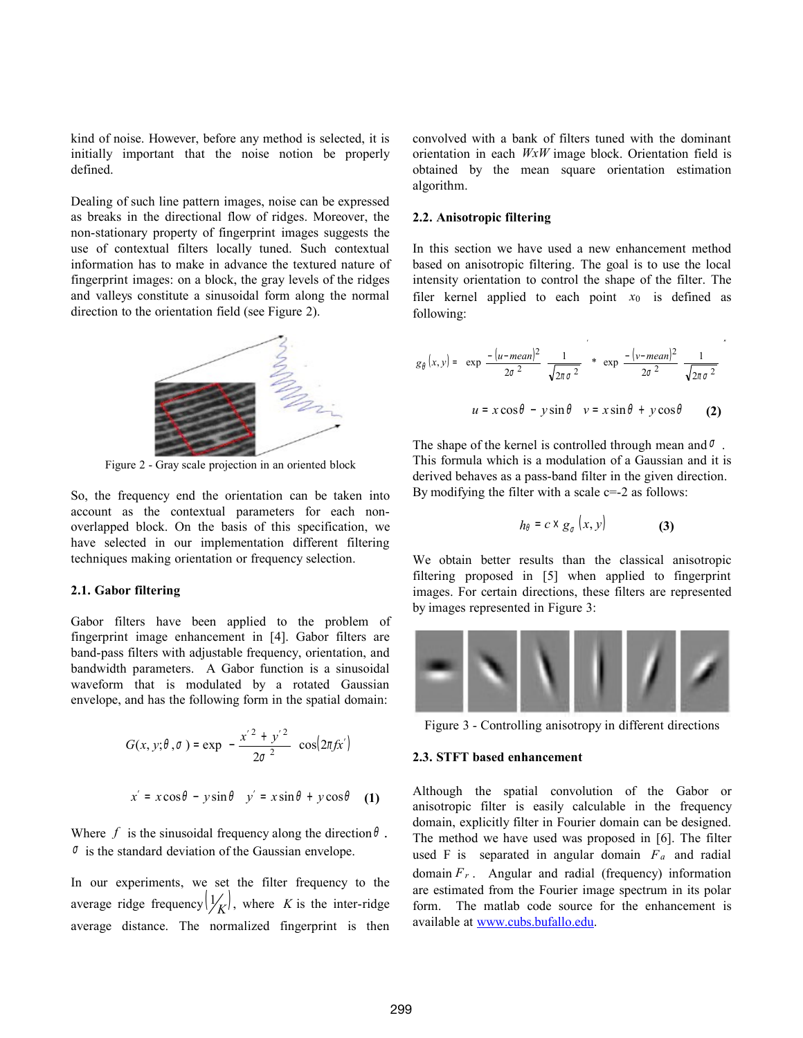kind of noise. However, before any method is selected, it is initially important that the noise notion be properly defined.

Dealing of such line pattern images, noise can be expressed as breaks in the directional flow of ridges. Moreover, the non-stationary property of fingerprint images suggests the use of contextual filters locally tuned. Such contextual information has to make in advance the textured nature of fingerprint images: on a block, the gray levels of the ridges and valleys constitute a sinusoidal form along the normal direction to the orientation field (see Figure 2).



Figure 2 - Gray scale projection in an oriented block

So, the frequency end the orientation can be taken into account as the contextual parameters for each nonoverlapped block. On the basis of this specification, we have selected in our implementation different filtering techniques making orientation or frequency selection.

### **2.1. Gabor filtering**

Gabor filters have been applied to the problem of fingerprint image enhancement in [4]. Gabor filters are band-pass filters with adjustable frequency, orientation, and bandwidth parameters. A Gabor function is a sinusoidal waveform that is modulated by a rotated Gaussian envelope, and has the following form in the spatial domain:

$$
G(x, y; \theta, \sigma) = \exp \left\{ -\frac{x'^2 + y'^2}{2\sigma^2} \right\} \cos(2\pi f x')
$$

$$
x' = x\cos\theta - y\sin\theta \quad y' = x\sin\theta + y\cos\theta \quad (1)
$$

Where  $f$  is the sinusoidal frequency along the direction  $\theta$ .  $\sigma$  is the standard deviation of the Gaussian envelope.

In our experiments, we set the filter frequency to the average ridge frequency  $\left(\frac{1}{K}\right)$ , where *K* is the inter-ridge average distance. The normalized fingerprint is then convolved with a bank of filters tuned with the dominant orientation in each *WxW* image block. Orientation field is obtained by the mean square orientation estimation algorithm.

### **2.2. Anisotropic filtering**

In this section we have used a new enhancement method based on anisotropic filtering. The goal is to use the local intensity orientation to control the shape of the filter. The filer kernel applied to each point  $x_0$  is defined as following:

$$
g_{\theta}(x, y) = \left\{ \exp\left(-\frac{(u - mean)^2}{2\sigma^2}\right) \frac{1}{\sqrt{2\pi \sigma^2}} \right\} * \left\{ \exp\left(-\frac{(v - mean)^2}{2\sigma^2}\right) \frac{1}{\sqrt{2\pi \sigma^2}} \right\}
$$
  

$$
u = x \cos \theta - y \sin \theta \quad v = x \sin \theta + y \cos \theta
$$
 (2)

The shape of the kernel is controlled through mean and  $\sigma$ . This formula which is a modulation of a Gaussian and it is derived behaves as a pass-band filter in the given direction. By modifying the filter with a scale  $c=-2$  as follows:

$$
h_{\theta} = c \times g_{\sigma} (x, y) \tag{3}
$$

We obtain better results than the classical anisotropic filtering proposed in [5] when applied to fingerprint images. For certain directions, these filters are represented by images represented in Figure 3:



Figure 3 - Controlling anisotropy in different directions

#### **2.3. STFT based enhancement**

Although the spatial convolution of the Gabor or anisotropic filter is easily calculable in the frequency domain, explicitly filter in Fourier domain can be designed. The method we have used was proposed in [6]. The filter used F is separated in angular domain *Fa* and radial domain  $F_r$ . Angular and radial (frequency) information are estimated from the Fourier image spectrum in its polar form. The matlab code source for the enhancement is available at [www.cubs.bufallo.edu.](http://www.cubs.bufallo.edu/)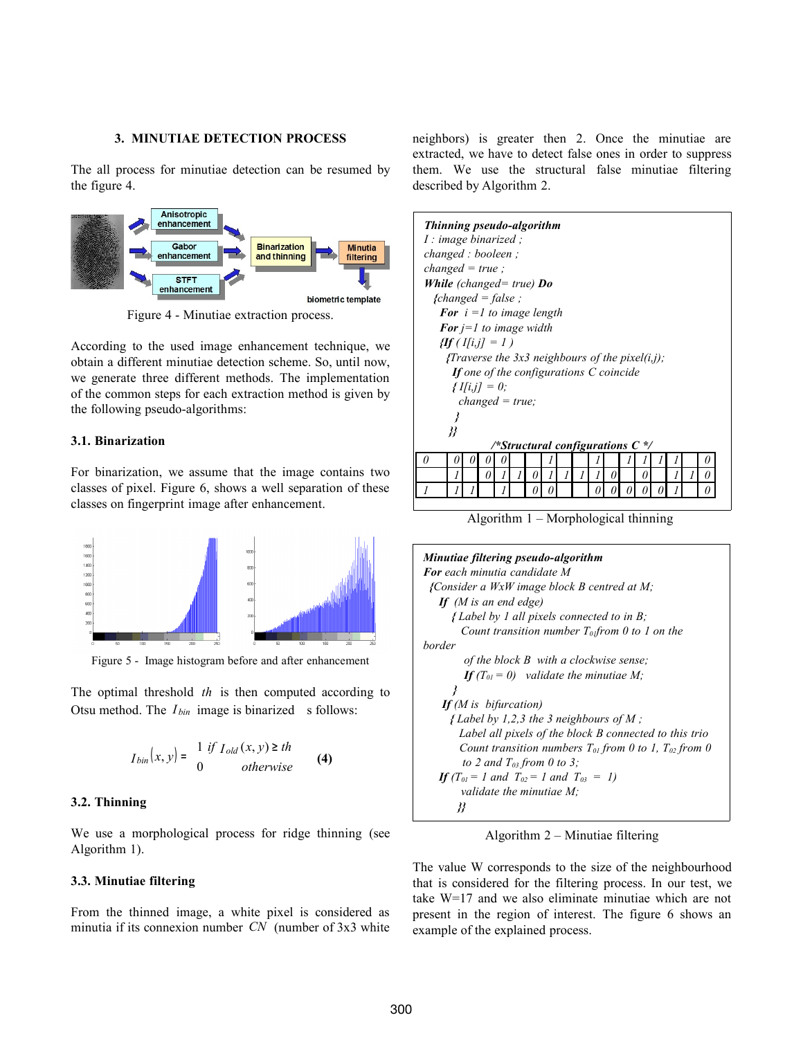#### **3. MINUTIAE DETECTION PROCESS**

The all process for minutiae detection can be resumed by the figure 4.



Figure 4 - Minutiae extraction process.

According to the used image enhancement technique, we obtain a different minutiae detection scheme. So, until now, we generate three different methods. The implementation of the common steps for each extraction method is given by the following pseudo-algorithms:

### **3.1. Binarization**

For binarization, we assume that the image contains two classes of pixel. Figure 6, shows a well separation of these classes on fingerprint image after enhancement.



Figure 5 - Image histogram before and after enhancement

The optimal threshold *th* is then computed according to Otsu method. The *I*<sub>bin</sub> image is binarized s follows:

$$
I_{bin}(x, y) = \begin{cases} 1 & \text{if } I_{old}(x, y) \geq th \\ 0 & \text{otherwise} \end{cases}
$$
 (4)

### **3.2. Thinning**

We use a morphological process for ridge thinning (see Algorithm 1).

### **3.3. Minutiae filtering**

From the thinned image, a white pixel is considered as minutia if its connexion number *CN* (number of 3x3 white neighbors) is greater then 2. Once the minutiae are extracted, we have to detect false ones in order to suppress them. We use the structural false minutiae filtering described by Algorithm 2.

| Thinning pseudo-algorithm<br>I: image binarized;<br>changed : booleen ; |                        |  |          |  |   |   |   |  |                                                                                                                                                                                                                               |   |   |  |   |
|-------------------------------------------------------------------------|------------------------|--|----------|--|---|---|---|--|-------------------------------------------------------------------------------------------------------------------------------------------------------------------------------------------------------------------------------|---|---|--|---|
|                                                                         |                        |  |          |  |   |   |   |  |                                                                                                                                                                                                                               |   |   |  |   |
| $changed = true;$                                                       |                        |  |          |  |   |   |   |  |                                                                                                                                                                                                                               |   |   |  |   |
| <b>While</b> (changed= true) $Do$                                       |                        |  |          |  |   |   |   |  |                                                                                                                                                                                                                               |   |   |  |   |
|                                                                         | ${f}changed = false$ ; |  |          |  |   |   |   |  |                                                                                                                                                                                                                               |   |   |  |   |
| For $i = 1$ to image length                                             |                        |  |          |  |   |   |   |  |                                                                                                                                                                                                                               |   |   |  |   |
|                                                                         |                        |  |          |  |   |   |   |  |                                                                                                                                                                                                                               |   |   |  |   |
| <b>For</b> $i=1$ to image width<br>$\iint (I[i,j] = 1)$                 |                        |  |          |  |   |   |   |  |                                                                                                                                                                                                                               |   |   |  |   |
|                                                                         |                        |  |          |  |   |   |   |  |                                                                                                                                                                                                                               |   |   |  |   |
| {Traverse the 3x3 neighbours of the pixel(i,j);                         |                        |  |          |  |   |   |   |  |                                                                                                                                                                                                                               |   |   |  |   |
| If one of the configurations $C$ coincide                               |                        |  |          |  |   |   |   |  |                                                                                                                                                                                                                               |   |   |  |   |
| $\{I[i,j]=0;$                                                           |                        |  |          |  |   |   |   |  |                                                                                                                                                                                                                               |   |   |  |   |
| $changed = true;$                                                       |                        |  |          |  |   |   |   |  |                                                                                                                                                                                                                               |   |   |  |   |
| ł                                                                       |                        |  |          |  |   |   |   |  |                                                                                                                                                                                                                               |   |   |  |   |
| ∦                                                                       |                        |  |          |  |   |   |   |  |                                                                                                                                                                                                                               |   |   |  |   |
| /*Structural configurations $C^*$ /                                     |                        |  |          |  |   |   |   |  |                                                                                                                                                                                                                               |   |   |  |   |
|                                                                         |                        |  |          |  |   |   |   |  |                                                                                                                                                                                                                               |   |   |  |   |
| 0                                                                       | U                      |  |          |  |   |   |   |  |                                                                                                                                                                                                                               |   |   |  | 0 |
|                                                                         |                        |  | 0        |  | 1 | 0 | 1 |  |                                                                                                                                                                                                                               | 0 | 0 |  | 0 |
|                                                                         |                        |  |          |  |   |   |   |  |                                                                                                                                                                                                                               |   |   |  |   |
|                                                                         |                        |  |          |  |   |   |   |  |                                                                                                                                                                                                                               |   |   |  |   |
|                                                                         |                        |  | $\cdots$ |  |   |   |   |  | $-1$ , $-1$ , $-1$ , $-1$ , $-1$ , $-1$ , $-1$ , $-1$ , $-1$ , $-1$ , $-1$ , $-1$ , $-1$ , $-1$ , $-1$ , $-1$ , $-1$ , $-1$ , $-1$ , $-1$ , $-1$ , $-1$ , $-1$ , $-1$ , $-1$ , $-1$ , $-1$ , $-1$ , $-1$ , $-1$ , $-1$ , $-1$ |   |   |  |   |

Algorithm 1 – Morphological thinning

| Minutiae filtering pseudo-algorithm                            |
|----------------------------------------------------------------|
| <b>For</b> each minutia candidate M                            |
| {Consider a WxW image block B centred at M;                    |
| If $(M$ is an end edge)                                        |
| {Label by 1 all pixels connected to in B;                      |
| Count transition number $T_{\text{0}}$ from 0 to 1 on the      |
| border                                                         |
| of the block B with a clockwise sense;                         |
| If $(T_{0l} = 0)$ validate the minutiae M;                     |
| ł                                                              |
| If $(M$ is bifurcation)                                        |
| {Label by 1,2,3 the 3 neighbours of M;                         |
| Label all pixels of the block B connected to this trio         |
| Count transition numbers $T_{01}$ from 0 to 1, $T_{02}$ from 0 |
| to 2 and $T_{03}$ from 0 to 3;                                 |
| <b>If</b> $(T_{01} = 1$ and $T_{02} = 1$ and $T_{03} = 1$ )    |
| validate the minutiae M:                                       |
| 88                                                             |
|                                                                |

Algorithm 2 – Minutiae filtering

The value W corresponds to the size of the neighbourhood that is considered for the filtering process. In our test, we take W=17 and we also eliminate minutiae which are not present in the region of interest. The figure 6 shows an example of the explained process.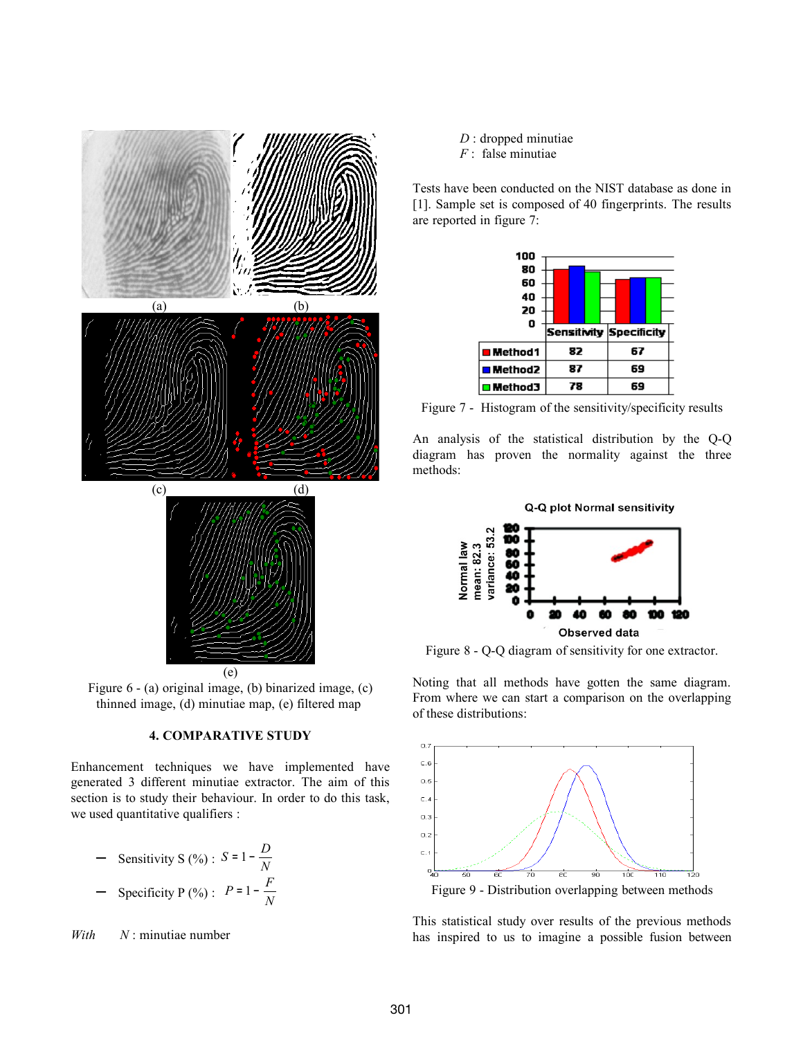

Figure 6 - (a) original image, (b) binarized image, (c) thinned image, (d) minutiae map, (e) filtered map

## **4. COMPARATIVE STUDY**

Enhancement techniques we have implemented have generated 3 different minutiae extractor. The aim of this section is to study their behaviour. In order to do this task, we used quantitative qualifiers :

- Sensitivity S (%) : 
$$
S = 1 - \frac{D}{N}
$$
  
- Specificity P (%) :  $P = 1 - \frac{F}{N}$ 

*With N* : minutiae number

*D* : dropped minutiae *F* : false minutiae

Tests have been conducted on the NIST database as done in [1]. Sample set is composed of 40 fingerprints. The results are reported in figure 7:

| 100<br>80<br>60<br>40<br>20<br>o |                         |    |  |  |  |  |
|----------------------------------|-------------------------|----|--|--|--|--|
|                                  | Sensitivity Specificity |    |  |  |  |  |
| <b>Method1</b>                   | 82                      | 67 |  |  |  |  |
| <b>■ M</b> ethod2                | 87                      | 69 |  |  |  |  |
| <b>□ M</b> ethod3                | 78                      | 69 |  |  |  |  |

Figure 7 - Histogram of the sensitivity/specificity results

An analysis of the statistical distribution by the Q-Q diagram has proven the normality against the three methods:



Figure 8 - Q-Q diagram of sensitivity for one extractor.

Noting that all methods have gotten the same diagram. From where we can start a comparison on the overlapping of these distributions:



Figure 9 - Distribution overlapping between methods

This statistical study over results of the previous methods has inspired to us to imagine a possible fusion between